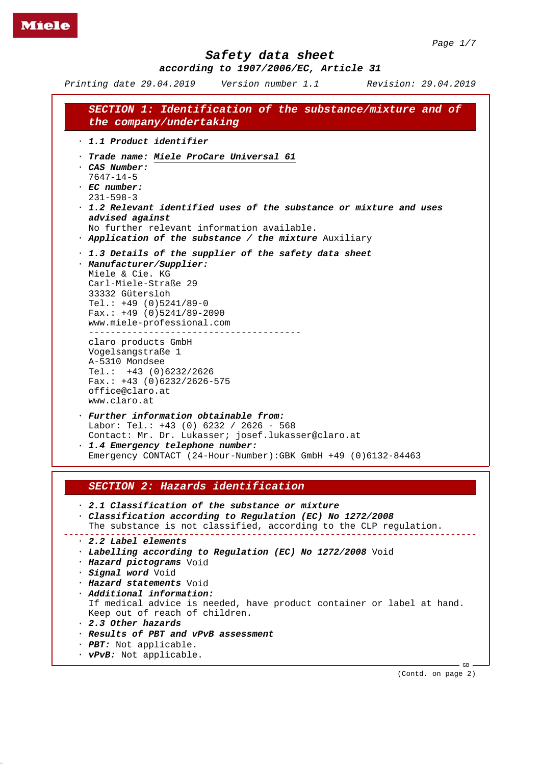# *Safety data sheet according to 1907/2006/EC, Article 31*

*Printing date 29.04.2019 Revision: 29.04.2019 Version number 1.1*

*SECTION 1: Identification of the substance/mixture and of the company/undertaking* · *1.1 Product identifier* · *Trade name: Miele ProCare Universal 61* · *CAS Number:* 7647-14-5 · *EC number:* 231-598-3 · *1.2 Relevant identified uses of the substance or mixture and uses advised against* No further relevant information available. · *Application of the substance / the mixture* Auxiliary · *1.3 Details of the supplier of the safety data sheet* · *Manufacturer/Supplier:* Miele & Cie. KG Carl-Miele-Straße 29 33332 Gütersloh Tel.: +49 (0)5241/89-0 Fax.: +49 (0)5241/89-2090 www.miele-professional.com -------------------------------------- claro products GmbH Vogelsangstraße 1 A-5310 Mondsee Tel.: +43 (0)6232/2626 Fax.: +43 (0)6232/2626-575 office@claro.at www.claro.at · *Further information obtainable from:* Labor: Tel.: +43 (0) 6232 / 2626 - 568 Contact: Mr. Dr. Lukasser; josef.lukasser@claro.at · *1.4 Emergency telephone number:* Emergency CONTACT (24-Hour-Number):GBK GmbH +49 (0)6132-84463

#### *SECTION 2: Hazards identification*

· *2.1 Classification of the substance or mixture* · *Classification according to Regulation (EC) No 1272/2008* The substance is not classified, according to the CLP regulation. · *2.2 Label elements* · *Labelling according to Regulation (EC) No 1272/2008* Void · *Hazard pictograms* Void · *Signal word* Void · *Hazard statements* Void · *Additional information:* If medical advice is needed, have product container or label at hand. Keep out of reach of children. · *2.3 Other hazards* · *Results of PBT and vPvB assessment* · *PBT:* Not applicable. · *vPvB:* Not applicable.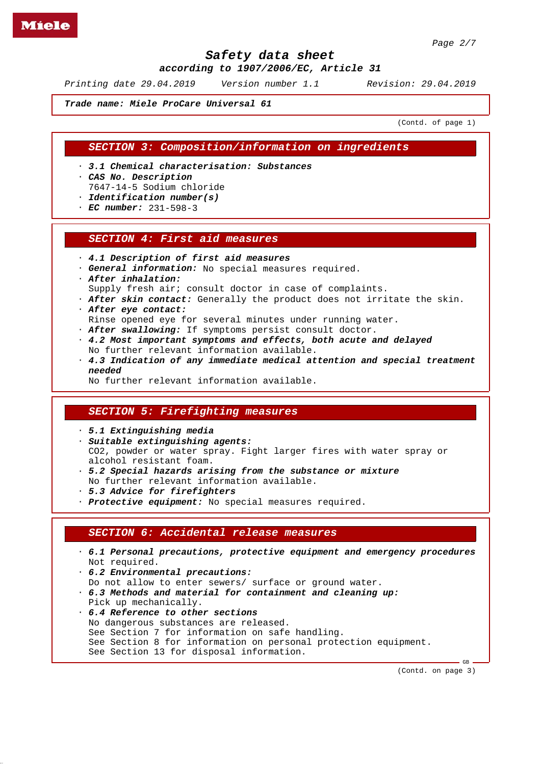*according to 1907/2006/EC, Article 31*

*Printing date 29.04.2019 Revision: 29.04.2019 Version number 1.1*

*Trade name: Miele ProCare Universal 61*

(Contd. of page 1)

#### *SECTION 3: Composition/information on ingredients*

· *3.1 Chemical characterisation: Substances*

· *CAS No. Description*

- 7647-14-5 Sodium chloride
- · *Identification number(s)*
- · *EC number:* 231-598-3

#### *SECTION 4: First aid measures*

- · *4.1 Description of first aid measures*
- · *General information:* No special measures required.
- · *After inhalation:*

Supply fresh air; consult doctor in case of complaints.

- · *After skin contact:* Generally the product does not irritate the skin.
- · *After eye contact:*
- Rinse opened eye for several minutes under running water.
- · *After swallowing:* If symptoms persist consult doctor.
- · *4.2 Most important symptoms and effects, both acute and delayed* No further relevant information available.
- · *4.3 Indication of any immediate medical attention and special treatment needed*

No further relevant information available.

#### *SECTION 5: Firefighting measures*

· *5.1 Extinguishing media*

- · *Suitable extinguishing agents:* CO2, powder or water spray. Fight larger fires with water spray or alcohol resistant foam.
- · *5.2 Special hazards arising from the substance or mixture*
- No further relevant information available.
- · *5.3 Advice for firefighters*
- · *Protective equipment:* No special measures required.

#### *SECTION 6: Accidental release measures*

· *6.1 Personal precautions, protective equipment and emergency procedures* Not required. · *6.2 Environmental precautions:* Do not allow to enter sewers/ surface or ground water. · *6.3 Methods and material for containment and cleaning up:* Pick up mechanically. · *6.4 Reference to other sections* No dangerous substances are released. See Section 7 for information on safe handling. See Section 8 for information on personal protection equipment. See Section 13 for disposal information.

(Contd. on page 3)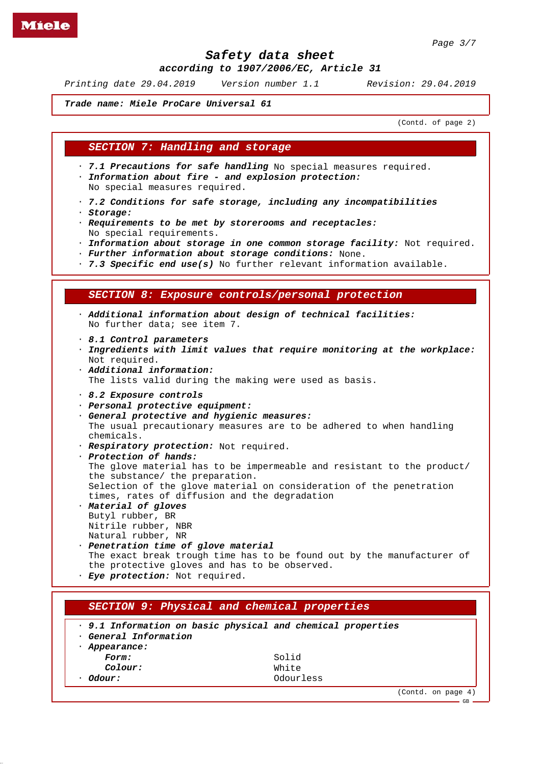*according to 1907/2006/EC, Article 31*

*Printing date 29.04.2019 Revision: 29.04.2019 Version number 1.1*

*Trade name: Miele ProCare Universal 61*

(Contd. of page 2)

## *SECTION 7: Handling and storage*

· *7.1 Precautions for safe handling* No special measures required.

- · *Information about fire and explosion protection:*
	- No special measures required.
- · *7.2 Conditions for safe storage, including any incompatibilities*
- · *Storage:*
- · *Requirements to be met by storerooms and receptacles:* No special requirements.
- · *Information about storage in one common storage facility:* Not required.
- · *Further information about storage conditions:* None.
- · *7.3 Specific end use(s)* No further relevant information available.

## *SECTION 8: Exposure controls/personal protection*

- · *Additional information about design of technical facilities:* No further data; see item 7.
- · *8.1 Control parameters*
- · *Ingredients with limit values that require monitoring at the workplace:* Not required.
- · *Additional information:* The lists valid during the making were used as basis.
- · *8.2 Exposure controls*
- · *Personal protective equipment:*
- · *General protective and hygienic measures:*

The usual precautionary measures are to be adhered to when handling chemicals.

- · *Respiratory protection:* Not required.
- · *Protection of hands:*

The glove material has to be impermeable and resistant to the product/ the substance/ the preparation. Selection of the glove material on consideration of the penetration

times, rates of diffusion and the degradation

- · *Material of gloves* Butyl rubber, BR Nitrile rubber, NBR Natural rubber, NR
- · *Penetration time of glove material* The exact break trough time has to be found out by the manufacturer of the protective gloves and has to be observed. · *Eye protection:* Not required.

#### *SECTION 9: Physical and chemical properties*

| . 9.1 Information on basic physical and chemical properties |           |
|-------------------------------------------------------------|-----------|
| · General Information                                       |           |
| <i>Appearance:</i>                                          |           |
| <i>Form:</i>                                                | Solid     |
| Colour:                                                     | White     |
| <i>Odour:</i>                                               | Odourless |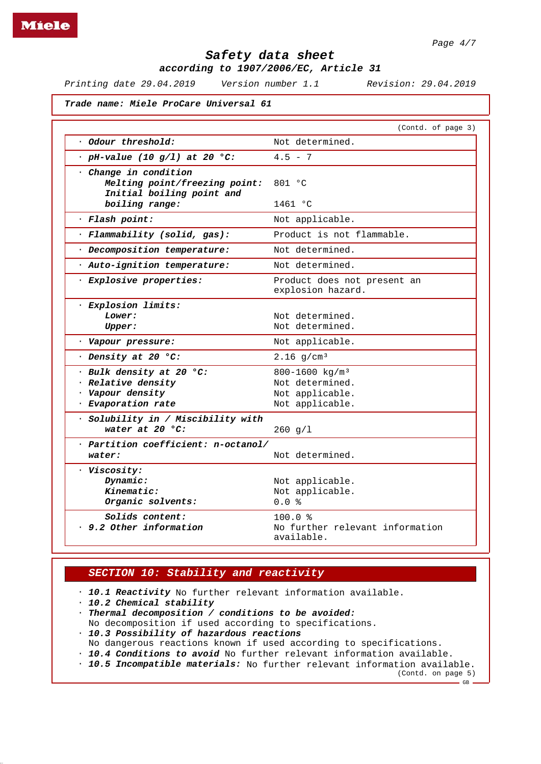*according to 1907/2006/EC, Article 31*

*Printing date 29.04.2019 Revision: 29.04.2019 Version number 1.1*

*Trade name: Miele ProCare Universal 61*

|                                                                                          | (Contd. of page 3)                                                        |
|------------------------------------------------------------------------------------------|---------------------------------------------------------------------------|
| Odour threshold:                                                                         | Not determined.                                                           |
| $\cdot$ pH-value (10 g/l) at 20 °C:                                                      | $4.5 - 7$                                                                 |
| Change in condition<br>Melting point/freezing point:<br>Initial boiling point and        | 801 °C                                                                    |
| boiling range:                                                                           | 1461 °C                                                                   |
| · Flash point:                                                                           | Not applicable.                                                           |
| · Flammability (solid, gas):                                                             | Product is not flammable.                                                 |
| · Decomposition temperature:                                                             | Not determined.                                                           |
| · Auto-ignition temperature:                                                             | Not determined.                                                           |
| · Explosive properties:                                                                  | Product does not present an<br>explosion hazard.                          |
| · Explosion limits:<br>Lower:<br>Upper:                                                  | Not determined.<br>Not determined.                                        |
| · Vapour pressure:                                                                       | Not applicable.                                                           |
| · Density at 20 °C:                                                                      | $2.16$ g/cm <sup>3</sup>                                                  |
| · Bulk density at 20 °C:<br>· Relative density<br>· Vapour density<br>· Evaporation rate | 800-1600 $kg/m3$<br>Not determined.<br>Not applicable.<br>Not applicable. |
| · Solubility in / Miscibility with<br>water at $20 \text{ }^{\circ}$ C:                  | 260 g/1                                                                   |
| Partition coefficient: n-octanol/<br>water:                                              | Not determined.                                                           |
| · Viscosity:<br>Dynamic:<br>Kinematic:<br>Organic solvents:                              | Not applicable.<br>Not applicable.<br>0.0%                                |
| Solids content:<br>$\cdot$ 9.2 Other information                                         | 100.0%<br>No further relevant information<br>available.                   |

## *SECTION 10: Stability and reactivity*

· *10.1 Reactivity* No further relevant information available.

· *10.2 Chemical stability*

· *Thermal decomposition / conditions to be avoided:*

- No decomposition if used according to specifications.
- · *10.3 Possibility of hazardous reactions*

No dangerous reactions known if used according to specifications.

· *10.4 Conditions to avoid* No further relevant information available.

· *10.5 Incompatible materials:* No further relevant information available.

(Contd. on page 5)  $-$  GB  $-$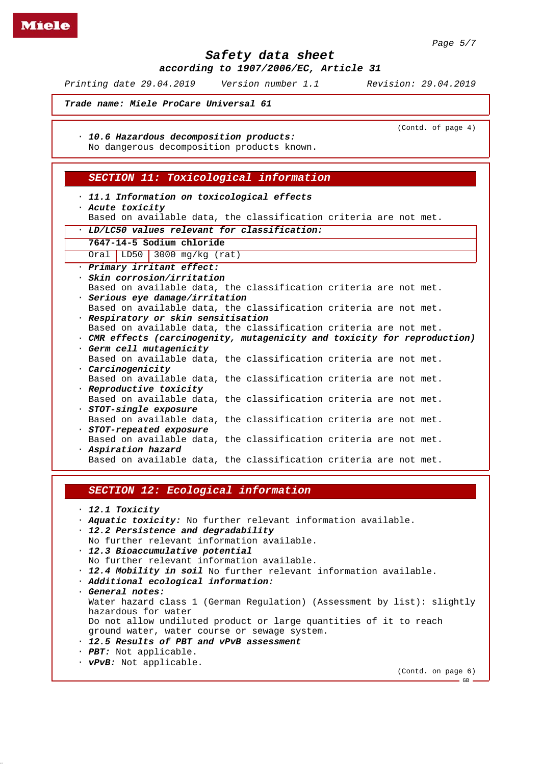*according to 1907/2006/EC, Article 31*

*Printing date 29.04.2019 Revision: 29.04.2019 Version number 1.1*

*Trade name: Miele ProCare Universal 61*

|  | · 10.6 Hazardous decomposition products:<br>No dangerous decomposition products known.        | (Contd. of page 4) |
|--|-----------------------------------------------------------------------------------------------|--------------------|
|  |                                                                                               |                    |
|  | SECTION 11: Toxicological information                                                         |                    |
|  |                                                                                               |                    |
|  | · 11.1 Information on toxicological effects                                                   |                    |
|  | · Acute toxicity                                                                              |                    |
|  | Based on available data, the classification criteria are not met.                             |                    |
|  | . LD/LC50 values relevant for classification:                                                 |                    |
|  | 7647-14-5 Sodium chloride                                                                     |                    |
|  | Oral   LD50   3000 mg/kg $(rat)$                                                              |                    |
|  | · Primary irritant effect:                                                                    |                    |
|  | · Skin corrosion/irritation                                                                   |                    |
|  | Based on available data, the classification criteria are not met.                             |                    |
|  | · Serious eye damage/irritation                                                               |                    |
|  | Based on available data, the classification criteria are not met.                             |                    |
|  | · Respiratory or skin sensitisation                                                           |                    |
|  | Based on available data, the classification criteria are not met.                             |                    |
|  | · CMR effects (carcinogenity, mutagenicity and toxicity for reproduction)                     |                    |
|  | · Germ cell mutagenicity<br>Based on available data, the classification criteria are not met. |                    |
|  | · Carcinogenicity                                                                             |                    |
|  | Based on available data, the classification criteria are not met.                             |                    |
|  | · Reproductive toxicity                                                                       |                    |
|  | Based on available data, the classification criteria are not met.                             |                    |
|  | · STOT-single exposure                                                                        |                    |
|  | Based on available data, the classification criteria are not met.                             |                    |
|  | · STOT-repeated exposure                                                                      |                    |
|  | Based on available data, the classification criteria are not met.                             |                    |
|  | · Aspiration hazard                                                                           |                    |
|  | Based on available data, the classification criteria are not met.                             |                    |

# *SECTION 12: Ecological information*

| $\cdot$ 12.1 Toxicity                                                   |  |
|-------------------------------------------------------------------------|--|
| . Aquatic toxicity: No further relevant information available.          |  |
| · 12.2 Persistence and degradability                                    |  |
| No further relevant information available.                              |  |
| · 12.3 Bioaccumulative potential                                        |  |
| No further relevant information available.                              |  |
| . 12.4 Mobility in soil No further relevant information available.      |  |
| · Additional ecological information:                                    |  |
| · General notes:                                                        |  |
| Water hazard class 1 (German Requlation) (Assessment by list): slightly |  |
| hazardous for water                                                     |  |
| Do not allow undiluted product or large quantities of it to reach       |  |
| ground water, water course or sewage system.                            |  |
| · 12.5 Results of PBT and vPvB assessment                               |  |
| · PBT: Not applicable.                                                  |  |
| · vPvB: Not applicable.                                                 |  |
| (Contd. on page 6)                                                      |  |
|                                                                         |  |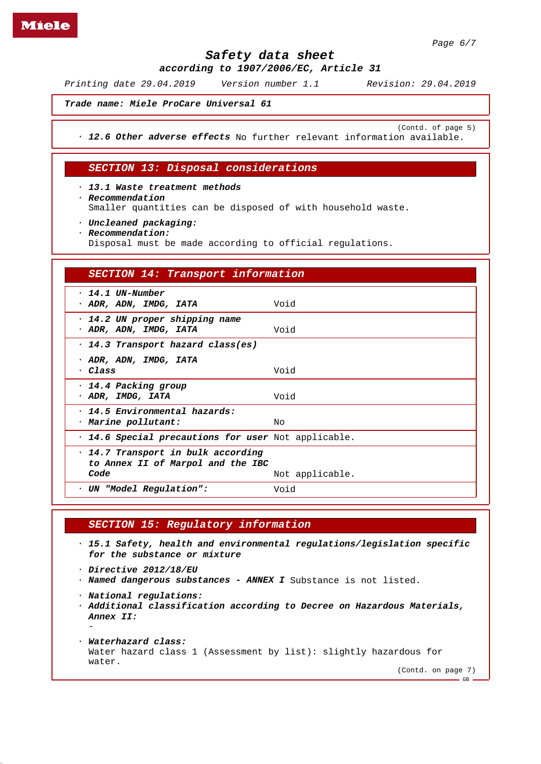*according to 1907/2006/EC, Article 31*

*Printing date 29.04.2019 Revision: 29.04.2019 Version number 1.1*

*Trade name: Miele ProCare Universal 61*

(Contd. of page 5)

· *12.6 Other adverse effects* No further relevant information available.

#### *SECTION 13: Disposal considerations*

· *13.1 Waste treatment methods* · *Recommendation*

Smaller quantities can be disposed of with household waste.

- · *Uncleaned packaging:*
- · *Recommendation:*
	- Disposal must be made according to official regulations.

## *SECTION 14: Transport information*

| $\cdot$ 14.1 UN-Number<br>· ADR, ADN, IMDG, IATA         | Void            |
|----------------------------------------------------------|-----------------|
| · 14.2 UN proper shipping name<br>· ADR, ADN, IMDG, IATA | Void            |
| · 14.3 Transport hazard class(es)                        |                 |
| · ADR, ADN, IMDG, IATA                                   |                 |
| · Class                                                  | Void            |
| · 14.4 Packing group                                     |                 |
| · ADR, IMDG, IATA                                        | Void            |
| · 14.5 Environmental hazards:                            |                 |
| · Marine pollutant:                                      | Νo              |
| . 14.6 Special precautions for user Not applicable.      |                 |
| · 14.7 Transport in bulk according                       |                 |
| to Annex II of Marpol and the IBC                        |                 |
| Code                                                     | Not applicable. |
| $\cdot$ UN "Model Regulation":                           | Void            |

#### *SECTION 15: Regulatory information*

- · *15.1 Safety, health and environmental regulations/legislation specific for the substance or mixture*
- · *Directive 2012/18/EU*
- · *Named dangerous substances ANNEX I* Substance is not listed.
- · *National regulations:*

-

- · *Additional classification according to Decree on Hazardous Materials, Annex II:*
- · *Waterhazard class:* Water hazard class 1 (Assessment by list): slightly hazardous for water.

(Contd. on page 7)  $-$  GB